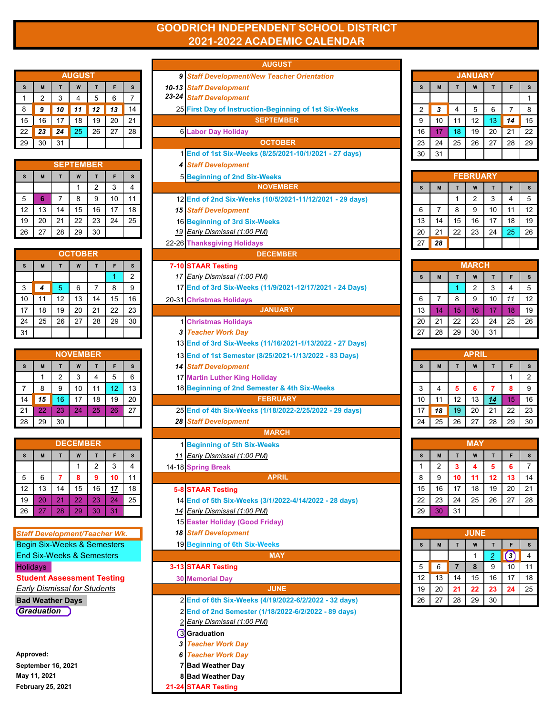## **GOODRICH INDEPENDENT SCHOOL DISTRICT 2021-2022 ACADEMIC CALENDAR**

|    | <b>AUGUST</b> |    |    |    |    |    |  |  |  |  |
|----|---------------|----|----|----|----|----|--|--|--|--|
| S  | M             |    | W  |    | F  | S  |  |  |  |  |
|    | 2             | 3  |    | 5  | 6  |    |  |  |  |  |
| 8  | 9             | 10 | 11 | 12 | 13 | 14 |  |  |  |  |
| 15 | 16            | 17 | 18 | 19 | 20 | 21 |  |  |  |  |
| 22 | 23            | 24 | 25 | 26 | 27 | 28 |  |  |  |  |
| 29 | 30            | 31 |    |    |    |    |  |  |  |  |

|    | <b>SEPTEMBER</b> |    |    |    |    |    |  |    |  |  |  |  |
|----|------------------|----|----|----|----|----|--|----|--|--|--|--|
| s  | м                |    | W  |    | F  | s  |  | 5  |  |  |  |  |
|    |                  |    |    | 2  | 3  |    |  |    |  |  |  |  |
| 5  | ĥ                |    | 8  | 9  | 10 | 11 |  | 12 |  |  |  |  |
| 12 | 13               | 14 | 15 | 16 | 17 | 18 |  | 15 |  |  |  |  |
| 19 | 20               | 21 | 22 | 23 | 24 | 25 |  | 16 |  |  |  |  |
| 26 | 27               | 28 | 29 | 30 |    |    |  | 19 |  |  |  |  |

| s  | M  |    | W  |    | F  | s  | $7 - 10$ |
|----|----|----|----|----|----|----|----------|
|    |    |    |    |    |    | 2  | 17       |
| 3  | 4  | 5  | 6  | 7  | 8  | 9  | 17       |
| 10 | 11 | 12 | 13 | 14 | 15 | 16 | 20-31    |
| 17 | 18 | 19 | 20 | 21 | 22 | 23 |          |
| 24 | 25 | 26 | 27 | 28 | 29 | 30 | 1        |
| 31 |    |    |    |    |    |    | 3        |

| <b>NOVEMBER</b> |    |                |    |    |           |    |  |  |  |  |
|-----------------|----|----------------|----|----|-----------|----|--|--|--|--|
| S               | M  |                | W  |    | F         | S  |  |  |  |  |
|                 |    | $\overline{2}$ | 3  | 4  | 5         | 6  |  |  |  |  |
|                 | 8  | 9              | 10 | 11 | 12        | 13 |  |  |  |  |
| 14              | 15 | 16             | 17 | 18 | <u>19</u> | 20 |  |  |  |  |
| 21              | 22 | 23             | 24 | 25 | 26        | 27 |  |  |  |  |
| 28              | 29 | 30             |    |    |           |    |  |  |  |  |

| <b>DECEMBER</b> |    |    |    |                |           |    |  |  |  |  |
|-----------------|----|----|----|----------------|-----------|----|--|--|--|--|
| s               | M  | s  |    |                |           |    |  |  |  |  |
|                 |    |    |    | $\overline{2}$ | 3         |    |  |  |  |  |
| 5               | 6  | 7  | 8  | 9              | 10        | 11 |  |  |  |  |
| 12              | 13 | 14 | 15 | 16             | <u>17</u> | 18 |  |  |  |  |
| 19              | 20 | 21 | 22 | 23             | 24        | 25 |  |  |  |  |
| 26              | 27 | 28 | 29 | 30             | 31        |    |  |  |  |  |

|    |                                        |                |                  |                  |           |                | <b>AUGUST</b>                                                                       |    |                |                         |                 |                |                        |                |
|----|----------------------------------------|----------------|------------------|------------------|-----------|----------------|-------------------------------------------------------------------------------------|----|----------------|-------------------------|-----------------|----------------|------------------------|----------------|
|    |                                        |                | <b>AUGUST</b>    |                  |           |                | 9 Staff Development/New Teacher Orientation                                         |    |                |                         | <b>JANUARY</b>  |                |                        |                |
| s  | M                                      | T              | W                | $\mathbf{T}$     | F         | s              | <b>10-13 Staff Development</b>                                                      | s  | м              | T                       | W               | $\mathbf{T}$   |                        | S              |
| 1  | 2                                      | 3              | 4                | 5                | 6         | $\overline{7}$ | 23-24 Staff Development                                                             |    |                |                         |                 |                |                        | $\overline{1}$ |
| 8  | 9                                      | 10             | 11               | 12               | 13        | 14             | 25 First Day of Instruction-Beginning of 1st Six-Weeks                              | 2  | 3              | 4                       | 5               | 6              | $\overline{7}$         | 8              |
| 15 | 16                                     | 17             | 18               | 19               | 20        | 21             | <b>SEPTEMBER</b>                                                                    | 9  | 10             | 11                      | 12              | 13             | 14                     | 15             |
| 22 | 23                                     | 24             | 25               | 26               | 27        | 28             | <b>6 Labor Day Holiday</b>                                                          | 16 | 17             | 18                      | 19              | 20             | 21                     | 22             |
| 29 | 30                                     | 31             |                  |                  |           |                | <b>OCTOBER</b>                                                                      | 23 | 24             | 25                      | 26              | 27             | 28                     | 29             |
|    |                                        |                |                  |                  |           |                | 1 End of 1st Six-Weeks (8/25/2021-10/1/2021 - 27 days)                              | 30 | 31             |                         |                 |                |                        |                |
|    |                                        |                | <b>SEPTEMBER</b> |                  |           |                | <b>4 Staff Development</b>                                                          |    |                |                         |                 |                |                        |                |
| s  | M                                      | T              | W                | $\mathbf{T}$     | F         | s              | 5 Beginning of 2nd Six-Weeks                                                        |    |                |                         | <b>FEBRUARY</b> |                |                        |                |
|    |                                        |                | 1                | $\overline{2}$   | 3         | 4              | <b>NOVEMBER</b>                                                                     | s  | M              | T                       | W               | $\mathbf{T}$   | F                      | S              |
| 5  | 6                                      | $\overline{7}$ | 8                | 9                | 10        | 11             | 12 End of 2nd Six-Weeks (10/5/2021-11/12/2021 - 29 days)                            |    |                | 1                       | $\overline{2}$  | 3              | 4                      | 5              |
| 12 | 13                                     | 14             | 15               | 16               | 17        | 18             | <b>15 Staff Development</b>                                                         | 6  | $\overline{7}$ | 8                       | 9               | 10             | 11                     | 12             |
| 19 | 20                                     | 21             | 22               | 23               | 24        | 25             | 16 Beginning of 3rd Six-Weeks                                                       | 13 | 14             | 15                      | 16              | 17             | 18                     | 15             |
| 26 | 27                                     | 28             | 29               | 30               |           |                | 19 Early Dismissal (1:00 PM)                                                        | 20 | 21             | 22                      | 23              | 24             | 25                     | 26             |
|    |                                        |                |                  |                  |           |                | 22-26 Thanksgiving Holidays                                                         | 27 | 28             |                         |                 |                |                        |                |
|    |                                        |                | <b>OCTOBER</b>   |                  |           |                | <b>DECEMBER</b>                                                                     |    |                |                         |                 |                |                        |                |
| s  | M                                      | T              | W                | T                | F         | s              | 7-10 STAAR Testing                                                                  |    |                |                         | <b>MARCH</b>    |                |                        |                |
|    |                                        |                |                  |                  | 1         | $\overline{2}$ | 17 Early Dismissal (1:00 PM)                                                        | s  | M              | T                       | W               | T              | F                      | s              |
| 3  | 4                                      | 5              | 6                | $\overline{7}$   | 8         | 9              | 17 End of 3rd Six-Weeks (11/9/2021-12/17/2021 - 24 Days)                            |    |                | 1                       | $\overline{2}$  | 3              | $\overline{4}$         | 5              |
| 10 | 11                                     | 12             | 13               | 14               | 15        | 16             | 20-31 Christmas Holidays                                                            | 6  | $\overline{7}$ | 8                       | 9               | 10             | 11                     | 12             |
| 17 | 18                                     | 19             | 20               | 21               | 22        | 23             | <b>JANUARY</b>                                                                      | 13 | 14             | 15                      | 16              | 17             | 18                     | 19             |
| 24 | 25                                     | 26             | 27               | 28               | 29        | 30             | <b>1 Christmas Holidays</b>                                                         | 20 | 21             | 22                      | 23              | 24             | 25                     | 26             |
| 31 |                                        |                |                  |                  |           |                | 3 Teacher Work Day                                                                  | 27 | 28             | 29                      | 30              | 31             |                        |                |
|    |                                        |                |                  |                  |           |                | 13 End of 3rd Six-Weeks (11/16/2021-1/13/2022 - 27 Days)                            |    |                |                         |                 |                |                        |                |
|    |                                        |                | <b>NOVEMBER</b>  |                  |           |                | 13 End of 1st Semester (8/25/2021-1/13/2022 - 83 Days)                              |    |                |                         | <b>APRIL</b>    |                |                        |                |
| s  | M                                      | T              | W                | $\mathbf T$      | F         | s              | <b>14 Staff Development</b>                                                         | s  | M              | $\mathbf{T}$            | W               | T              | F                      | s              |
|    | $\mathbf{1}$                           | 2              | 3                | $\overline{4}$   | 5         | 6              | 17 Martin Luther King Holiday                                                       |    |                |                         |                 |                | 1                      | $\overline{2}$ |
| 7  | 8                                      | 9              | 10               | 11               | 12        | 13             | 18 Beginning of 2nd Semester & 4th Six-Weeks                                        | 3  | 4              | 5                       | 6               | $\overline{7}$ | 8                      | 9              |
| 14 | 15                                     | 16             | 17               | 18               | 19        | 20             | <b>FEBRUARY</b>                                                                     | 10 | 11             | 12                      | 13              | 14             | 15                     | 16             |
| 21 | 22                                     | 23             | 24               | 25               | 26        | 27             | 25 End of 4th Six-Weeks (1/18/2022-2/25/2022 - 29 days)                             | 17 | 18             | 19                      | 20              | 21             | 22                     | 23             |
| 28 | 29                                     | 30             |                  |                  |           |                | <b>28 Staff Development</b>                                                         | 24 | 25             | 26                      | 27              | 28             | 29                     | 3 <sub>0</sub> |
|    |                                        |                |                  |                  |           |                | <b>MARCH</b>                                                                        |    |                |                         |                 |                |                        |                |
|    |                                        |                | <b>DECEMBER</b>  |                  |           |                | 1 Beginning of 5th Six-Weeks                                                        |    |                |                         | <b>MAY</b>      |                |                        |                |
| s  | M                                      | т              | W                | Т                | F         | s              | 11 Early Dismissal (1:00 PM)                                                        | s  |                | т                       | W               |                |                        |                |
|    |                                        |                |                  | $\boldsymbol{2}$ | 3         | 4              | 14-18 Spring Break                                                                  |    | z              | з                       | 4               | 5              | 6                      | $\prime$       |
| 5  | 6                                      | 7              | 8                | 9                | 10        | 11             | <b>APRIL</b>                                                                        | 8  | 9              | 10                      | 11              | 12             | 13                     | 14             |
| 12 | 13                                     | 14             | 15               | 16               | <u>17</u> | 18             | <b>5-8 STAAR Testing</b>                                                            | 15 | 16             | 17                      | 18              | 19             | 20                     | 21             |
| 19 | 20                                     | 21             | 22               | 23               | 24        | 25             | 14 End of 5th Six-Weeks (3/1/2022-4/14/2022 - 28 days)                              | 22 | 23             | 24                      | 25              | 26             | 27                     | 28             |
| 26 | 27                                     | 28             | 29               | 30               | 31        |                | 14 Early Dismissal (1:00 PM)                                                        | 29 | 30             | 31                      |                 |                |                        |                |
|    |                                        |                |                  |                  |           |                | 15 Easter Holiday (Good Friday)                                                     |    |                |                         |                 |                |                        |                |
|    | <b>Staff Development/Teacher Wk.</b>   |                |                  |                  |           |                | <b>18 Staff Development</b>                                                         |    |                |                         | <b>JUNE</b>     |                |                        |                |
|    | <b>Begin Six-Weeks &amp; Semesters</b> |                |                  |                  |           |                | 19 Beginning of 6th Six-Weeks                                                       | s  | м              | T                       | W               | т              | F                      | s              |
|    | <b>End Six-Weeks &amp; Semesters</b>   |                |                  |                  |           |                | <b>MAY</b>                                                                          |    |                |                         | $\mathbf 1$     | $\overline{2}$ | $\left( \cdot \right)$ | $\overline{4}$ |
|    | Holidays                               |                |                  |                  |           |                | 3-13 STAAR Testing                                                                  | 5  | 6              | $\overline{\mathbf{r}}$ | 8               | 9              | 10                     | 11             |
|    | <b>Student Assessment Testing</b>      |                |                  |                  |           |                | <b>30 Memorial Day</b>                                                              | 12 | 13             | 14                      | 15              | 16             | 17                     | 18             |
|    | <b>Early Dismissal for Students</b>    |                |                  |                  |           |                | <b>JUNE</b>                                                                         | 19 | 20             | 21                      | 22              | 23             | 24                     | 25             |
|    | <b>Bad Weather Days</b><br>Graduation  |                |                  |                  |           |                | 2 End of 6th Six-Weeks (4/19/2022-6/2/2022 - 32 days)                               | 26 | 27             | 28                      | 29              | 30             |                        |                |
|    |                                        |                |                  |                  |           |                | 2 End of 2nd Semester (1/18/2022-6/2/2022 - 89 days)<br>2 Early Dismissal (1:00 PM) |    |                |                         |                 |                |                        |                |
|    |                                        |                |                  |                  |           |                |                                                                                     |    |                |                         |                 |                |                        |                |
|    |                                        |                |                  |                  |           |                | <b>3</b> Graduation<br><b>3 Teacher Work Day</b>                                    |    |                |                         |                 |                |                        |                |
|    | Approved:                              |                |                  |                  |           |                | <b>6 Teacher Work Day</b>                                                           |    |                |                         |                 |                |                        |                |
|    | September 16, 2021                     |                |                  |                  |           |                | 7 Bad Weather Day                                                                   |    |                |                         |                 |                |                        |                |
|    | May 11, 2021                           |                |                  |                  |           |                | 8 Bad Weather Day                                                                   |    |                |                         |                 |                |                        |                |
|    | February 25, 2021                      |                |                  |                  |           |                | 21-24 STAAR Testing                                                                 |    |                |                         |                 |                |                        |                |
|    |                                        |                |                  |                  |           |                |                                                                                     |    |                |                         |                 |                |                        |                |

| <b>JANUARY</b> |    |    |    |    |    |    |  |  |  |  |
|----------------|----|----|----|----|----|----|--|--|--|--|
| s              | M  | т  | W  | т  | F  | s  |  |  |  |  |
|                |    |    |    |    |    |    |  |  |  |  |
| $\overline{2}$ | 3  | 4  | 5  | 6  | 7  | 8  |  |  |  |  |
| 9              | 10 | 11 | 12 | 13 | 14 | 15 |  |  |  |  |
| 16             | 17 | 18 | 19 | 20 | 21 | 22 |  |  |  |  |
| 23             | 24 | 25 | 26 | 27 | 28 | 29 |  |  |  |  |
| 30             | 31 |    |    |    |    |    |  |  |  |  |

|    | <b>FEBRUARY</b> |    |    |    |    |    |  |  |  |  |  |
|----|-----------------|----|----|----|----|----|--|--|--|--|--|
| s  | M               |    | W  | т  | F  | s  |  |  |  |  |  |
|    |                 |    | 2  | 3  |    | 5  |  |  |  |  |  |
| 6  | 7               | 8  | 9  | 10 | 11 | 12 |  |  |  |  |  |
| 13 | 14              | 15 | 16 | 17 | 18 | 19 |  |  |  |  |  |
| 20 | 21              | 22 | 23 | 24 | 25 | 26 |  |  |  |  |  |
| 27 | 28              |    |    |    |    |    |  |  |  |  |  |

|    | <b>MARCH</b> |    |    |    |            |    |  |  |  |  |  |
|----|--------------|----|----|----|------------|----|--|--|--|--|--|
| s  | M            |    | W  | т  | F          | S  |  |  |  |  |  |
|    |              |    | 2  | 3  |            | 5  |  |  |  |  |  |
| 6  | 7            | 8  | 9  | 10 | <u> 11</u> | 12 |  |  |  |  |  |
| 13 | 14           | 15 | 16 | 17 | 18         | 19 |  |  |  |  |  |
| 20 | 21           | 22 | 23 | 24 | 25         | 26 |  |  |  |  |  |
| 27 | 28           | 29 | 30 | 31 |            |    |  |  |  |  |  |

|    | <b>APRIL</b>    |    |    |    |    |    |  |  |  |  |
|----|-----------------|----|----|----|----|----|--|--|--|--|
| S  | M               |    | W  | т  | F  | S  |  |  |  |  |
|    |                 |    |    |    |    | 2  |  |  |  |  |
| 3  | 4               | 5  | 6  | 7  | 8  | 9  |  |  |  |  |
| 10 | 11              | 12 | 13 | 14 | 15 | 16 |  |  |  |  |
| 17 | 18              | 19 | 20 | 21 | 22 | 23 |  |  |  |  |
| 24 | $\overline{25}$ | 26 | 27 | 28 | 29 | 30 |  |  |  |  |

|    | <b>MAY</b>     |    |    |    |    |    |  |  |  |
|----|----------------|----|----|----|----|----|--|--|--|
| s  | M              |    | W  |    | F  | S  |  |  |  |
| 1  | $\overline{2}$ | 3  | 4  | 5  | 6  |    |  |  |  |
| 8  | 9              | 10 | 11 | 12 | 13 | 14 |  |  |  |
| 15 | 16             | 17 | 18 | 19 | 20 | 21 |  |  |  |
| 22 | 23             | 24 | 25 | 26 | 27 | 28 |  |  |  |
| 29 | 30             | 31 |    |    |    |    |  |  |  |

|    | <b>JUNE</b> |    |    |                |    |    |  |  |  |  |
|----|-------------|----|----|----------------|----|----|--|--|--|--|
| s  | M           |    | W  | П              | F  | S  |  |  |  |  |
|    |             |    |    | $\overline{2}$ | ç, |    |  |  |  |  |
| 5  | 6           |    | 8  | 9              | 10 | 11 |  |  |  |  |
| 12 | 13          | 14 | 15 | 16             | 17 | 18 |  |  |  |  |
| 19 | 20          | 21 | 22 | 23             | 24 | 25 |  |  |  |  |
| 26 | 27          | 28 | 29 | 30             |    |    |  |  |  |  |